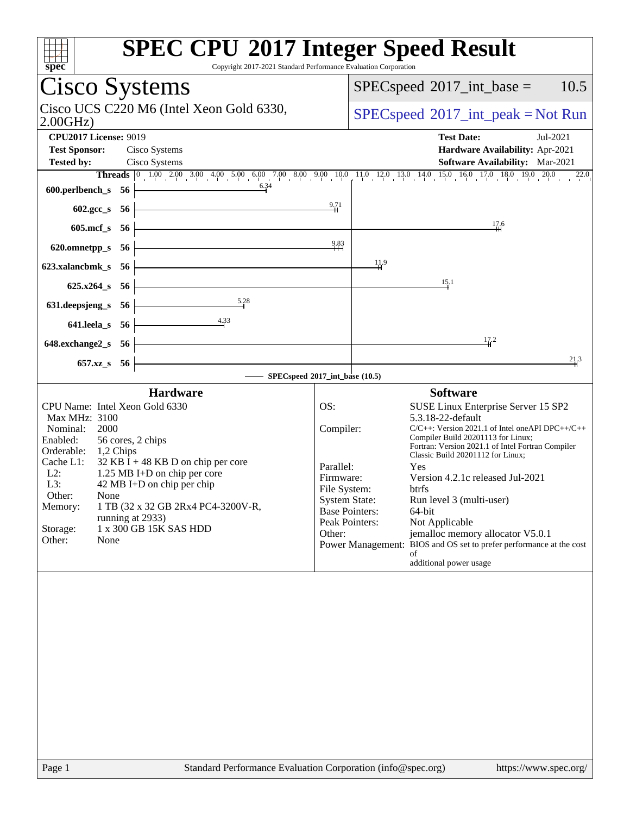| spec<br>Copyright 2017-2021 Standard Performance Evaluation Corporation                                                                                                                                                                                                                                                                                                                                                               | <b>SPEC CPU®2017 Integer Speed Result</b>                                                                                                                                                                                                                                                                                                                                                                                                                                                                                                                                                                                                                                   |
|---------------------------------------------------------------------------------------------------------------------------------------------------------------------------------------------------------------------------------------------------------------------------------------------------------------------------------------------------------------------------------------------------------------------------------------|-----------------------------------------------------------------------------------------------------------------------------------------------------------------------------------------------------------------------------------------------------------------------------------------------------------------------------------------------------------------------------------------------------------------------------------------------------------------------------------------------------------------------------------------------------------------------------------------------------------------------------------------------------------------------------|
| Cisco Systems                                                                                                                                                                                                                                                                                                                                                                                                                         | 10.5<br>$SPEC speed^{\circ}2017\_int\_base =$                                                                                                                                                                                                                                                                                                                                                                                                                                                                                                                                                                                                                               |
| Cisco UCS C220 M6 (Intel Xeon Gold 6330,<br>2.00GHz                                                                                                                                                                                                                                                                                                                                                                                   | $SPEC speed^{\circ}2017\_int\_peak = Not Run$                                                                                                                                                                                                                                                                                                                                                                                                                                                                                                                                                                                                                               |
| <b>CPU2017 License: 9019</b><br><b>Test Sponsor:</b><br>Cisco Systems<br><b>Tested by:</b><br>Cisco Systems                                                                                                                                                                                                                                                                                                                           | <b>Test Date:</b><br>Jul-2021<br>Hardware Availability: Apr-2021<br><b>Software Availability:</b> Mar-2021                                                                                                                                                                                                                                                                                                                                                                                                                                                                                                                                                                  |
| 6.34<br>600.perlbench_s 56                                                                                                                                                                                                                                                                                                                                                                                                            | Threads 0 1.00 2.00 3.00 4.00 5.00 6.00 7.00 8.00 9.00 10.0 11.0 12.0 13.0 14.0 15.0 16.0 17.0 18.0 19.0 20.0<br>22.0<br>9.71                                                                                                                                                                                                                                                                                                                                                                                                                                                                                                                                               |
| 602.gcc_s 56  <br>605.mcf_s 56                                                                                                                                                                                                                                                                                                                                                                                                        | 17.6                                                                                                                                                                                                                                                                                                                                                                                                                                                                                                                                                                                                                                                                        |
| 620.omnetpp_s 56                                                                                                                                                                                                                                                                                                                                                                                                                      | 9.83                                                                                                                                                                                                                                                                                                                                                                                                                                                                                                                                                                                                                                                                        |
| 623.xalancbmk_s 56                                                                                                                                                                                                                                                                                                                                                                                                                    | $\frac{11.9}{1}$<br>15.1                                                                                                                                                                                                                                                                                                                                                                                                                                                                                                                                                                                                                                                    |
| $625.x264$ s 56<br>5.28<br>631.deepsjeng_s 56                                                                                                                                                                                                                                                                                                                                                                                         |                                                                                                                                                                                                                                                                                                                                                                                                                                                                                                                                                                                                                                                                             |
| 4.33<br>641.leela_s 56                                                                                                                                                                                                                                                                                                                                                                                                                |                                                                                                                                                                                                                                                                                                                                                                                                                                                                                                                                                                                                                                                                             |
| 648.exchange2_s 56                                                                                                                                                                                                                                                                                                                                                                                                                    | 17.2<br>21.3                                                                                                                                                                                                                                                                                                                                                                                                                                                                                                                                                                                                                                                                |
| 657.xz_s 56                                                                                                                                                                                                                                                                                                                                                                                                                           | SPECspeed®2017_int_base (10.5)                                                                                                                                                                                                                                                                                                                                                                                                                                                                                                                                                                                                                                              |
| <b>Hardware</b><br>CPU Name: Intel Xeon Gold 6330<br>Max MHz: 3100<br>Nominal:<br>2000<br>Enabled:<br>56 cores, 2 chips<br>Orderable: 1,2 Chips<br>Cache L1:<br>$32$ KB I + 48 KB D on chip per core<br>$L2$ :<br>1.25 MB I+D on chip per core<br>42 MB I+D on chip per chip<br>$L3$ :<br>Other:<br>None<br>1 TB (32 x 32 GB 2Rx4 PC4-3200V-R,<br>Memory:<br>running at 2933)<br>1 x 300 GB 15K SAS HDD<br>Storage:<br>Other:<br>None | <b>Software</b><br>OS:<br>SUSE Linux Enterprise Server 15 SP2<br>5.3.18-22-default<br>Compiler:<br>$C/C++$ : Version 2021.1 of Intel one API DPC++/C++<br>Compiler Build 20201113 for Linux;<br>Fortran: Version 2021.1 of Intel Fortran Compiler<br>Classic Build 20201112 for Linux;<br>Parallel:<br>Yes<br>Version 4.2.1c released Jul-2021<br>Firmware:<br>File System:<br><b>btrfs</b><br><b>System State:</b><br>Run level 3 (multi-user)<br><b>Base Pointers:</b><br>64-bit<br>Peak Pointers:<br>Not Applicable<br>Other:<br>jemalloc memory allocator V5.0.1<br>Power Management: BIOS and OS set to prefer performance at the cost<br>of<br>additional power usage |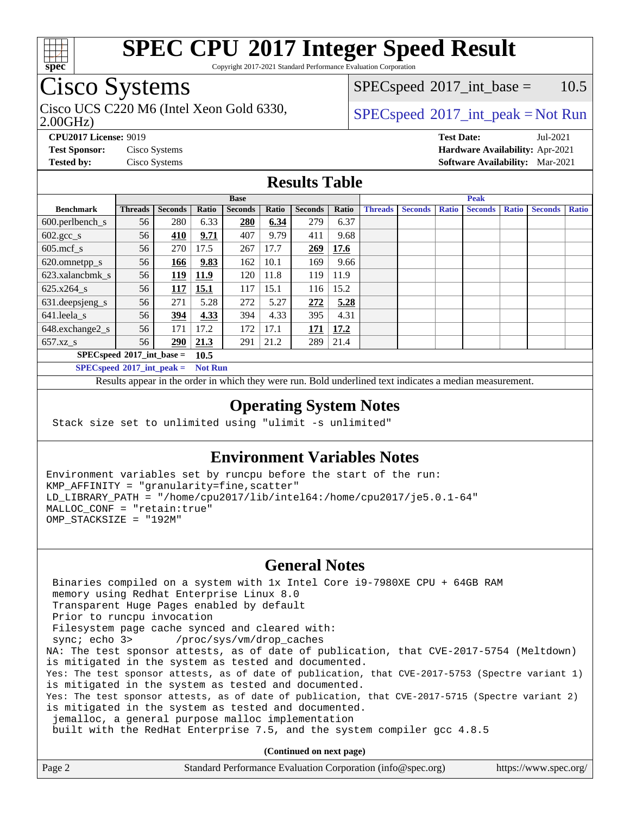

Copyright 2017-2021 Standard Performance Evaluation Corporation

### Cisco Systems

Cisco UCS C220 M6 (Intel Xeon Gold 6330,  $SPECspeed^{\circ}2017\_int\_peak = Not Run$  $SPECspeed^{\circ}2017\_int\_peak = Not Run$ 

 $SPECspeed^{\circ}2017\_int\_base = 10.5$  $SPECspeed^{\circ}2017\_int\_base = 10.5$ 

#### 2.00GHz)

**[CPU2017 License:](http://www.spec.org/auto/cpu2017/Docs/result-fields.html#CPU2017License)** 9019 **[Test Date:](http://www.spec.org/auto/cpu2017/Docs/result-fields.html#TestDate)** Jul-2021

**[Test Sponsor:](http://www.spec.org/auto/cpu2017/Docs/result-fields.html#TestSponsor)** Cisco Systems **[Hardware Availability:](http://www.spec.org/auto/cpu2017/Docs/result-fields.html#HardwareAvailability)** Apr-2021 **[Tested by:](http://www.spec.org/auto/cpu2017/Docs/result-fields.html#Testedby)** Cisco Systems **[Software Availability:](http://www.spec.org/auto/cpu2017/Docs/result-fields.html#SoftwareAvailability)** Mar-2021

#### **[Results Table](http://www.spec.org/auto/cpu2017/Docs/result-fields.html#ResultsTable)**

|                                     | <b>Base</b>    |                |       |                |       | <b>Peak</b>    |       |                |                |              |                |              |                |              |
|-------------------------------------|----------------|----------------|-------|----------------|-------|----------------|-------|----------------|----------------|--------------|----------------|--------------|----------------|--------------|
| <b>Benchmark</b>                    | <b>Threads</b> | <b>Seconds</b> | Ratio | <b>Seconds</b> | Ratio | <b>Seconds</b> | Ratio | <b>Threads</b> | <b>Seconds</b> | <b>Ratio</b> | <b>Seconds</b> | <b>Ratio</b> | <b>Seconds</b> | <b>Ratio</b> |
| 600.perlbench_s                     | 56             | 280            | 6.33  | 280            | 6.34  | 279            | 6.37  |                |                |              |                |              |                |              |
| $602.\text{gcc}\_\text{s}$          | 56             | 410            | 9.71  | 407            | 9.79  | 411            | 9.68  |                |                |              |                |              |                |              |
| $605$ .mcf s                        | 56             | 270            | 17.5  | 267            | 17.7  | 269            | 17.6  |                |                |              |                |              |                |              |
| 620.omnetpp_s                       | 56             | 166            | 9.83  | 162            | 10.1  | 169            | 9.66  |                |                |              |                |              |                |              |
| 623.xalancbmk s                     | 56             | 119            | 11.9  | 120            | 11.8  | 119            | 11.9  |                |                |              |                |              |                |              |
| 625.x264 s                          | 56             | 117            | 15.1  | 117            | 15.1  | 116            | 15.2  |                |                |              |                |              |                |              |
| 631.deepsjeng_s                     | 56             | 271            | 5.28  | 272            | 5.27  | 272            | 5.28  |                |                |              |                |              |                |              |
| 641.leela_s                         | 56             | 394            | 4.33  | 394            | 4.33  | 395            | 4.31  |                |                |              |                |              |                |              |
| 648.exchange2_s                     | 56             | 171            | 17.2  | 172            | 17.1  | 171            | 17.2  |                |                |              |                |              |                |              |
| $657.xz$ s                          | 56             | 290            | 21.3  | 291            | 21.2  | 289            | 21.4  |                |                |              |                |              |                |              |
| $SPECspeed*2017$ int base =<br>10.5 |                |                |       |                |       |                |       |                |                |              |                |              |                |              |

**[SPECspeed](http://www.spec.org/auto/cpu2017/Docs/result-fields.html#SPECspeed2017intpeak)[2017\\_int\\_peak =](http://www.spec.org/auto/cpu2017/Docs/result-fields.html#SPECspeed2017intpeak) Not Run**

Results appear in the [order in which they were run.](http://www.spec.org/auto/cpu2017/Docs/result-fields.html#RunOrder) Bold underlined text [indicates a median measurement.](http://www.spec.org/auto/cpu2017/Docs/result-fields.html#Median)

#### **[Operating System Notes](http://www.spec.org/auto/cpu2017/Docs/result-fields.html#OperatingSystemNotes)**

Stack size set to unlimited using "ulimit -s unlimited"

#### **[Environment Variables Notes](http://www.spec.org/auto/cpu2017/Docs/result-fields.html#EnvironmentVariablesNotes)**

Environment variables set by runcpu before the start of the run: KMP\_AFFINITY = "granularity=fine,scatter" LD\_LIBRARY\_PATH = "/home/cpu2017/lib/intel64:/home/cpu2017/je5.0.1-64" MALLOC\_CONF = "retain:true" OMP\_STACKSIZE = "192M"

### **[General Notes](http://www.spec.org/auto/cpu2017/Docs/result-fields.html#GeneralNotes)**

 Binaries compiled on a system with 1x Intel Core i9-7980XE CPU + 64GB RAM memory using Redhat Enterprise Linux 8.0 Transparent Huge Pages enabled by default Prior to runcpu invocation Filesystem page cache synced and cleared with: sync; echo 3> /proc/sys/vm/drop\_caches NA: The test sponsor attests, as of date of publication, that CVE-2017-5754 (Meltdown) is mitigated in the system as tested and documented. Yes: The test sponsor attests, as of date of publication, that CVE-2017-5753 (Spectre variant 1) is mitigated in the system as tested and documented. Yes: The test sponsor attests, as of date of publication, that CVE-2017-5715 (Spectre variant 2) is mitigated in the system as tested and documented. jemalloc, a general purpose malloc implementation built with the RedHat Enterprise 7.5, and the system compiler gcc 4.8.5

**(Continued on next page)**

| Standard Performance Evaluation Corporation (info@spec.org)<br>Page 2<br>https://www.spec.org/ |
|------------------------------------------------------------------------------------------------|
|------------------------------------------------------------------------------------------------|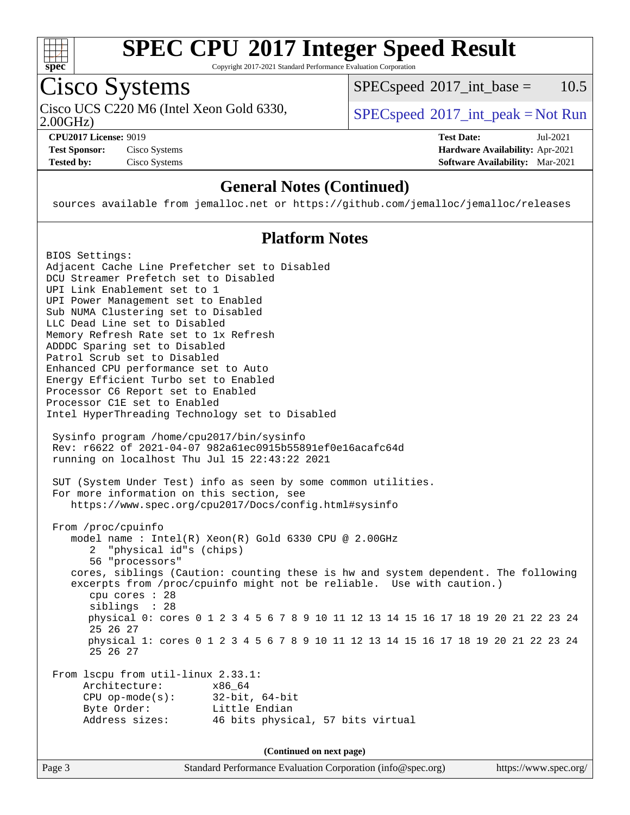

Copyright 2017-2021 Standard Performance Evaluation Corporation

### Cisco Systems

Cisco UCS C220 M6 (Intel Xeon Gold 6330,  $SPECspeed^{\circ}2017\_int\_peak = Not Run$  $SPECspeed^{\circ}2017\_int\_peak = Not Run$ 

 $SPECspeed^{\circ}2017\_int\_base = 10.5$  $SPECspeed^{\circ}2017\_int\_base = 10.5$ 

2.00GHz)

**[Test Sponsor:](http://www.spec.org/auto/cpu2017/Docs/result-fields.html#TestSponsor)** Cisco Systems **[Hardware Availability:](http://www.spec.org/auto/cpu2017/Docs/result-fields.html#HardwareAvailability)** Apr-2021

**[CPU2017 License:](http://www.spec.org/auto/cpu2017/Docs/result-fields.html#CPU2017License)** 9019 **[Test Date:](http://www.spec.org/auto/cpu2017/Docs/result-fields.html#TestDate)** Jul-2021 **[Tested by:](http://www.spec.org/auto/cpu2017/Docs/result-fields.html#Testedby)** Cisco Systems **[Software Availability:](http://www.spec.org/auto/cpu2017/Docs/result-fields.html#SoftwareAvailability)** Mar-2021

### **[General Notes \(Continued\)](http://www.spec.org/auto/cpu2017/Docs/result-fields.html#GeneralNotes)**

sources available from jemalloc.net or <https://github.com/jemalloc/jemalloc/releases>

### **[Platform Notes](http://www.spec.org/auto/cpu2017/Docs/result-fields.html#PlatformNotes)**

Page 3 Standard Performance Evaluation Corporation [\(info@spec.org\)](mailto:info@spec.org) <https://www.spec.org/> BIOS Settings: Adjacent Cache Line Prefetcher set to Disabled DCU Streamer Prefetch set to Disabled UPI Link Enablement set to 1 UPI Power Management set to Enabled Sub NUMA Clustering set to Disabled LLC Dead Line set to Disabled Memory Refresh Rate set to 1x Refresh ADDDC Sparing set to Disabled Patrol Scrub set to Disabled Enhanced CPU performance set to Auto Energy Efficient Turbo set to Enabled Processor C6 Report set to Enabled Processor C1E set to Enabled Intel HyperThreading Technology set to Disabled Sysinfo program /home/cpu2017/bin/sysinfo Rev: r6622 of 2021-04-07 982a61ec0915b55891ef0e16acafc64d running on localhost Thu Jul 15 22:43:22 2021 SUT (System Under Test) info as seen by some common utilities. For more information on this section, see <https://www.spec.org/cpu2017/Docs/config.html#sysinfo> From /proc/cpuinfo model name : Intel(R) Xeon(R) Gold 6330 CPU @ 2.00GHz 2 "physical id"s (chips) 56 "processors" cores, siblings (Caution: counting these is hw and system dependent. The following excerpts from /proc/cpuinfo might not be reliable. Use with caution.) cpu cores : 28 siblings : 28 physical 0: cores 0 1 2 3 4 5 6 7 8 9 10 11 12 13 14 15 16 17 18 19 20 21 22 23 24 25 26 27 physical 1: cores 0 1 2 3 4 5 6 7 8 9 10 11 12 13 14 15 16 17 18 19 20 21 22 23 24 25 26 27 From lscpu from util-linux 2.33.1: Architecture: x86\_64 CPU op-mode(s): 32-bit, 64-bit Byte Order: Little Endian Address sizes: 46 bits physical, 57 bits virtual **(Continued on next page)**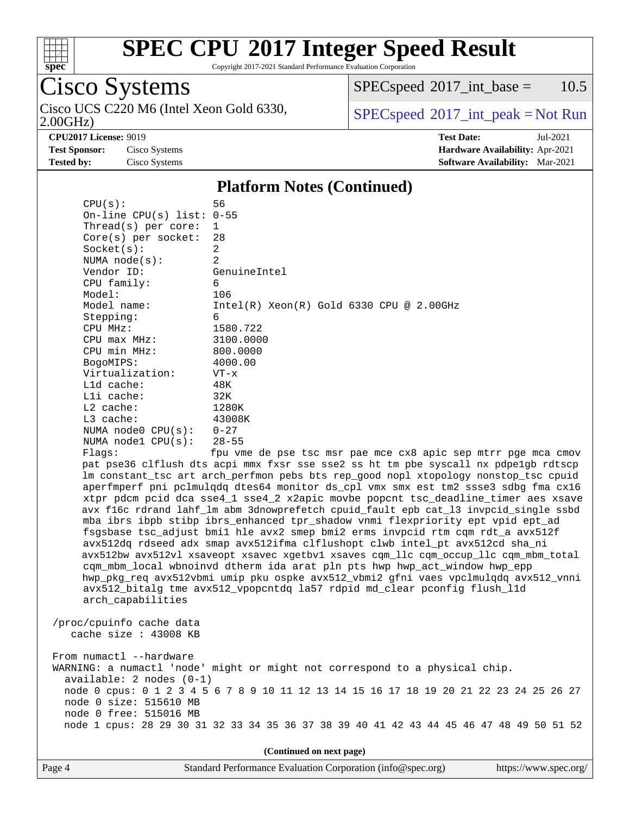

Copyright 2017-2021 Standard Performance Evaluation Corporation

# Cisco Systems

2.00GHz) Cisco UCS C220 M6 (Intel Xeon Gold 6330,  $SPECspeed^{\circ}2017\_int\_peak = Not Run$  $SPECspeed^{\circ}2017\_int\_peak = Not Run$ 

 $SPECspeed^{\circledcirc}2017\_int\_base = 10.5$  $SPECspeed^{\circledcirc}2017\_int\_base = 10.5$ 

**[Tested by:](http://www.spec.org/auto/cpu2017/Docs/result-fields.html#Testedby)** Cisco Systems **[Software Availability:](http://www.spec.org/auto/cpu2017/Docs/result-fields.html#SoftwareAvailability)** Mar-2021

**[CPU2017 License:](http://www.spec.org/auto/cpu2017/Docs/result-fields.html#CPU2017License)** 9019 **[Test Date:](http://www.spec.org/auto/cpu2017/Docs/result-fields.html#TestDate)** Jul-2021 **[Test Sponsor:](http://www.spec.org/auto/cpu2017/Docs/result-fields.html#TestSponsor)** Cisco Systems **[Hardware Availability:](http://www.spec.org/auto/cpu2017/Docs/result-fields.html#HardwareAvailability)** Apr-2021

#### **[Platform Notes \(Continued\)](http://www.spec.org/auto/cpu2017/Docs/result-fields.html#PlatformNotes)**

| CPU(s):                                                                                 | 56                                                                                   |  |  |  |  |  |
|-----------------------------------------------------------------------------------------|--------------------------------------------------------------------------------------|--|--|--|--|--|
| On-line CPU $(s)$ list: 0-55                                                            |                                                                                      |  |  |  |  |  |
| Thread(s) per core:                                                                     | 1                                                                                    |  |  |  |  |  |
| $Core(s)$ per socket:                                                                   | 28                                                                                   |  |  |  |  |  |
| Socket(s):                                                                              | 2                                                                                    |  |  |  |  |  |
| NUMA $node(s):$                                                                         | $\overline{2}$                                                                       |  |  |  |  |  |
| Vendor ID:                                                                              | GenuineIntel                                                                         |  |  |  |  |  |
| CPU family:                                                                             | 6                                                                                    |  |  |  |  |  |
| Model:                                                                                  | 106                                                                                  |  |  |  |  |  |
| Model name:                                                                             | $Intel(R)$ Xeon $(R)$ Gold 6330 CPU @ 2.00GHz                                        |  |  |  |  |  |
| Stepping:                                                                               | 6                                                                                    |  |  |  |  |  |
| CPU MHz:                                                                                | 1580.722                                                                             |  |  |  |  |  |
| CPU max MHz:                                                                            | 3100.0000                                                                            |  |  |  |  |  |
| CPU min MHz:                                                                            | 800.0000                                                                             |  |  |  |  |  |
| BogoMIPS:                                                                               | 4000.00                                                                              |  |  |  |  |  |
| Virtualization:                                                                         | $VT - x$                                                                             |  |  |  |  |  |
| L1d cache:                                                                              | 48K                                                                                  |  |  |  |  |  |
| Lli cache:                                                                              | 32K                                                                                  |  |  |  |  |  |
| $L2$ cache:                                                                             | 1280K                                                                                |  |  |  |  |  |
| L3 cache:                                                                               | 43008K                                                                               |  |  |  |  |  |
| NUMA $node0$ $CPU(s)$ :                                                                 | $0 - 27$                                                                             |  |  |  |  |  |
| NUMA nodel CPU(s):                                                                      | $28 - 55$                                                                            |  |  |  |  |  |
| Flaqs:                                                                                  | fpu vme de pse tsc msr pae mce cx8 apic sep mtrr pge mca cmov                        |  |  |  |  |  |
|                                                                                         | pat pse36 clflush dts acpi mmx fxsr sse sse2 ss ht tm pbe syscall nx pdpe1gb rdtscp  |  |  |  |  |  |
|                                                                                         | lm constant_tsc art arch_perfmon pebs bts rep_good nopl xtopology nonstop_tsc cpuid  |  |  |  |  |  |
|                                                                                         | aperfmperf pni pclmulqdq dtes64 monitor ds_cpl vmx smx est tm2 ssse3 sdbg fma cx16   |  |  |  |  |  |
|                                                                                         | xtpr pdcm pcid dca sse4_1 sse4_2 x2apic movbe popcnt tsc_deadline_timer aes xsave    |  |  |  |  |  |
|                                                                                         | avx f16c rdrand lahf_lm abm 3dnowprefetch cpuid_fault epb cat_13 invpcid_single ssbd |  |  |  |  |  |
|                                                                                         | mba ibrs ibpb stibp ibrs_enhanced tpr_shadow vnmi flexpriority ept vpid ept_ad       |  |  |  |  |  |
|                                                                                         | fsgsbase tsc_adjust bmil hle avx2 smep bmi2 erms invpcid rtm cqm rdt_a avx512f       |  |  |  |  |  |
|                                                                                         | avx512dq rdseed adx smap avx512ifma clflushopt clwb intel_pt avx512cd sha_ni         |  |  |  |  |  |
|                                                                                         | avx512bw avx512vl xsaveopt xsavec xgetbvl xsaves cqm_llc cqm_occup_llc cqm_mbm_total |  |  |  |  |  |
|                                                                                         | cqm_mbm_local wbnoinvd dtherm ida arat pln pts hwp hwp_act_window hwp_epp            |  |  |  |  |  |
|                                                                                         | hwp_pkg_req avx512vbmi umip pku ospke avx512_vbmi2 gfni vaes vpclmulqdq avx512_vnni  |  |  |  |  |  |
|                                                                                         | avx512_bitalg tme avx512_vpopcntdq la57 rdpid md_clear pconfig flush_l1d             |  |  |  |  |  |
| arch_capabilities                                                                       |                                                                                      |  |  |  |  |  |
|                                                                                         |                                                                                      |  |  |  |  |  |
| /proc/cpuinfo cache data                                                                |                                                                                      |  |  |  |  |  |
| cache size $: 43008$ KB                                                                 |                                                                                      |  |  |  |  |  |
|                                                                                         |                                                                                      |  |  |  |  |  |
| From numactl --hardware                                                                 |                                                                                      |  |  |  |  |  |
| WARNING: a numactl 'node' might or might not correspond to a physical chip.             |                                                                                      |  |  |  |  |  |
| $available: 2 nodes (0-1)$                                                              |                                                                                      |  |  |  |  |  |
| node 0 cpus: 0 1 2 3 4 5 6 7 8 9 10 11 12 13 14 15 16 17 18 19 20 21 22 23 24 25 26 27  |                                                                                      |  |  |  |  |  |
| node 0 size: 515610 MB                                                                  |                                                                                      |  |  |  |  |  |
| node 0 free: 515016 MB                                                                  |                                                                                      |  |  |  |  |  |
| node 1 cpus: 28 29 30 31 32 33 34 35 36 37 38 39 40 41 42 43 44 45 46 47 48 49 50 51 52 |                                                                                      |  |  |  |  |  |
|                                                                                         |                                                                                      |  |  |  |  |  |
| (Continued on next page)                                                                |                                                                                      |  |  |  |  |  |
|                                                                                         |                                                                                      |  |  |  |  |  |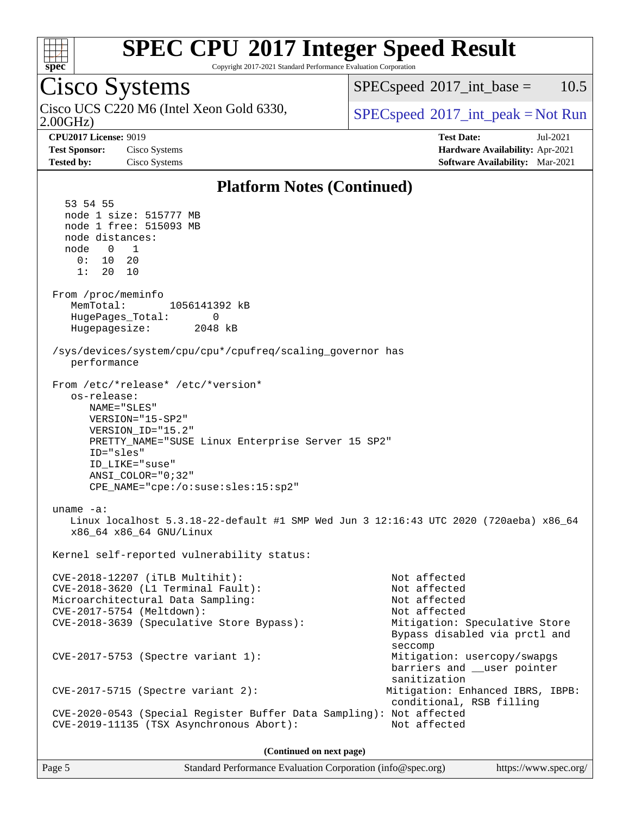

Copyright 2017-2021 Standard Performance Evaluation Corporation

#### Cisco Systems 2.00GHz) Cisco UCS C220 M6 (Intel Xeon Gold 6330,  $SPECspeed^{\circ}2017\_int\_peak = Not Run$  $SPECspeed^{\circ}2017\_int\_peak = Not Run$  $SPECspeed^{\circ}2017\_int\_base = 10.5$  $SPECspeed^{\circ}2017\_int\_base = 10.5$ **[CPU2017 License:](http://www.spec.org/auto/cpu2017/Docs/result-fields.html#CPU2017License)** 9019 **[Test Date:](http://www.spec.org/auto/cpu2017/Docs/result-fields.html#TestDate)** Jul-2021 **[Test Sponsor:](http://www.spec.org/auto/cpu2017/Docs/result-fields.html#TestSponsor)** Cisco Systems **[Hardware Availability:](http://www.spec.org/auto/cpu2017/Docs/result-fields.html#HardwareAvailability)** Apr-2021 **[Tested by:](http://www.spec.org/auto/cpu2017/Docs/result-fields.html#Testedby)** Cisco Systems **[Software Availability:](http://www.spec.org/auto/cpu2017/Docs/result-fields.html#SoftwareAvailability)** Mar-2021 **[Platform Notes \(Continued\)](http://www.spec.org/auto/cpu2017/Docs/result-fields.html#PlatformNotes)** 53 54 55 node 1 size: 515777 MB node 1 free: 515093 MB node distances: node 0 1 0: 10 20 1: 20 10 From /proc/meminfo MemTotal: 1056141392 kB HugePages\_Total: 0 Hugepagesize: 2048 kB /sys/devices/system/cpu/cpu\*/cpufreq/scaling\_governor has performance From /etc/\*release\* /etc/\*version\* os-release: NAME="SLES" VERSION="15-SP2" VERSION\_ID="15.2" PRETTY\_NAME="SUSE Linux Enterprise Server 15 SP2" ID="sles" ID\_LIKE="suse" ANSI\_COLOR="0;32" CPE\_NAME="cpe:/o:suse:sles:15:sp2" uname -a: Linux localhost 5.3.18-22-default #1 SMP Wed Jun 3 12:16:43 UTC 2020 (720aeba) x86\_64 x86\_64 x86\_64 GNU/Linux Kernel self-reported vulnerability status: CVE-2018-12207 (iTLB Multihit): Not affected CVE-2018-3620 (L1 Terminal Fault): Not affected Microarchitectural Data Sampling: Not affected CVE-2017-5754 (Meltdown): Not affected CVE-2018-3639 (Speculative Store Bypass): Mitigation: Speculative Store Bypass disabled via prctl and seccompany and the contract of the contract of the contract of the second seconds of the contract of the contract of the contract of the contract of the contract of the contract of the contract of the contract of the contr CVE-2017-5753 (Spectre variant 1): Mitigation: usercopy/swapgs barriers and \_\_user pointer sanitization CVE-2017-5715 (Spectre variant 2): Mitigation: Enhanced IBRS, IBPB: conditional, RSB filling CVE-2020-0543 (Special Register Buffer Data Sampling): Not affected CVE-2019-11135 (TSX Asynchronous Abort): Not affected

**(Continued on next page)**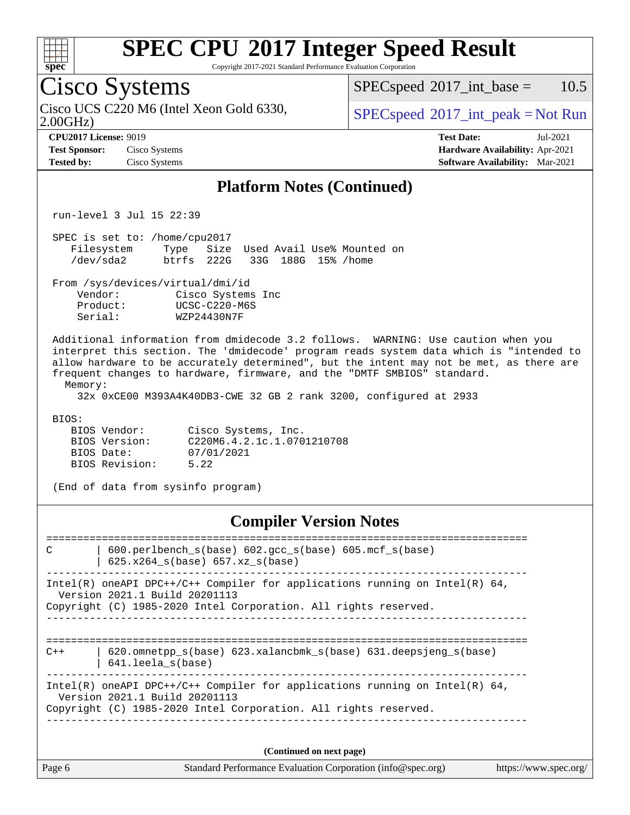

#### Copyright 2017-2021 Standard Performance Evaluation Corporation Cisco Systems 2.00GHz) Cisco UCS C220 M6 (Intel Xeon Gold 6330,  $SPECspeed^{\circ}2017\_int\_peak = Not Run$  $SPECspeed^{\circ}2017\_int\_peak = Not Run$  $SPECspeed^{\circ}2017\_int\_base = 10.5$  $SPECspeed^{\circ}2017\_int\_base = 10.5$ **[CPU2017 License:](http://www.spec.org/auto/cpu2017/Docs/result-fields.html#CPU2017License)** 9019 **[Test Date:](http://www.spec.org/auto/cpu2017/Docs/result-fields.html#TestDate)** Jul-2021 **[Test Sponsor:](http://www.spec.org/auto/cpu2017/Docs/result-fields.html#TestSponsor)** Cisco Systems **[Hardware Availability:](http://www.spec.org/auto/cpu2017/Docs/result-fields.html#HardwareAvailability)** Apr-2021 **[Tested by:](http://www.spec.org/auto/cpu2017/Docs/result-fields.html#Testedby)** Cisco Systems **[Software Availability:](http://www.spec.org/auto/cpu2017/Docs/result-fields.html#SoftwareAvailability)** Mar-2021 **[Platform Notes \(Continued\)](http://www.spec.org/auto/cpu2017/Docs/result-fields.html#PlatformNotes)** run-level 3 Jul 15 22:39 SPEC is set to: /home/cpu2017 Filesystem Type Size Used Avail Use% Mounted on /dev/sda2 btrfs 222G 33G 188G 15% /home From /sys/devices/virtual/dmi/id Vendor: Cisco Systems Inc Product: UCSC-C220-M6S Serial: WZP24430N7F Additional information from dmidecode 3.2 follows. WARNING: Use caution when you interpret this section. The 'dmidecode' program reads system data which is "intended to allow hardware to be accurately determined", but the intent may not be met, as there are frequent changes to hardware, firmware, and the "DMTF SMBIOS" standard. Memory: 32x 0xCE00 M393A4K40DB3-CWE 32 GB 2 rank 3200, configured at 2933 BIOS: BIOS Vendor: Cisco Systems, Inc. BIOS Version: C220M6.4.2.1c.1.0701210708 BIOS Date: 07/01/2021 BIOS Revision: 5.22 (End of data from sysinfo program) **[Compiler Version Notes](http://www.spec.org/auto/cpu2017/Docs/result-fields.html#CompilerVersionNotes)** ============================================================================== C | 600.perlbench\_s(base) 602.gcc\_s(base) 605.mcf\_s(base) | 625.x264\_s(base) 657.xz\_s(base)

------------------------------------------------------------------------------ Intel(R) oneAPI DPC++/C++ Compiler for applications running on Intel(R)  $64$ , Version 2021.1 Build 20201113 Copyright (C) 1985-2020 Intel Corporation. All rights reserved.

==============================================================================  $C++$  | 620.omnetpp s(base) 623.xalancbmk s(base) 631.deepsjeng s(base) | 641.leela\_s(base) ------------------------------------------------------------------------------

------------------------------------------------------------------------------

Intel(R) oneAPI DPC++/C++ Compiler for applications running on Intel(R)  $64$ , Version 2021.1 Build 20201113 Copyright (C) 1985-2020 Intel Corporation. All rights reserved. ------------------------------------------------------------------------------

**(Continued on next page)**

| Page 6 | Standard Performance Evaluation Corporation (info@spec.org) | https://www.spec.org/ |
|--------|-------------------------------------------------------------|-----------------------|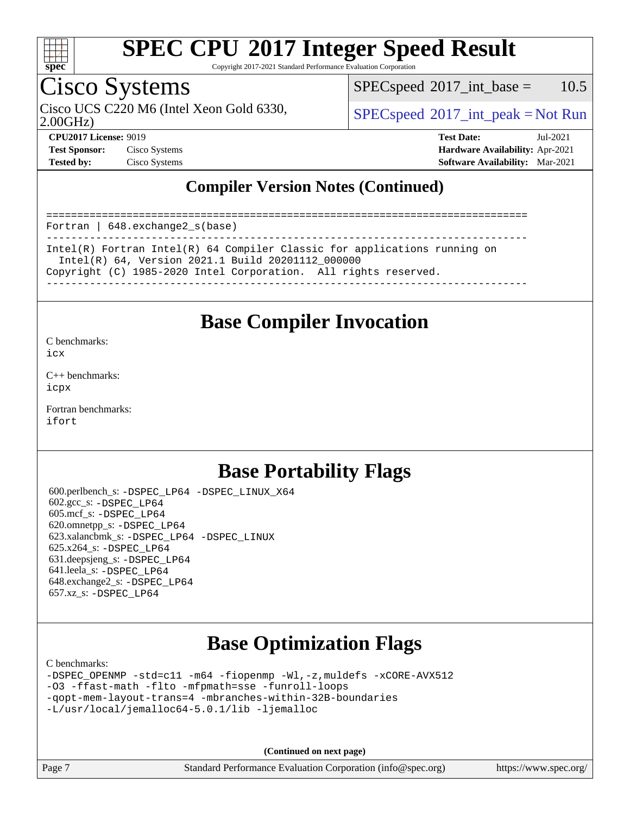

Copyright 2017-2021 Standard Performance Evaluation Corporation

### Cisco Systems

 $SPECspeed^{\circ}2017\_int\_base = 10.5$  $SPECspeed^{\circ}2017\_int\_base = 10.5$ 

2.00GHz)

Cisco UCS C220 M6 (Intel Xeon Gold 6330,  $SPECspeed^{\circ}2017\_int\_peak = Not Run$  $SPECspeed^{\circ}2017\_int\_peak = Not Run$ 

**[CPU2017 License:](http://www.spec.org/auto/cpu2017/Docs/result-fields.html#CPU2017License)** 9019 **[Test Date:](http://www.spec.org/auto/cpu2017/Docs/result-fields.html#TestDate)** Jul-2021 **[Test Sponsor:](http://www.spec.org/auto/cpu2017/Docs/result-fields.html#TestSponsor)** Cisco Systems **[Hardware Availability:](http://www.spec.org/auto/cpu2017/Docs/result-fields.html#HardwareAvailability)** Apr-2021 **[Tested by:](http://www.spec.org/auto/cpu2017/Docs/result-fields.html#Testedby)** Cisco Systems **[Software Availability:](http://www.spec.org/auto/cpu2017/Docs/result-fields.html#SoftwareAvailability)** Mar-2021

### **[Compiler Version Notes \(Continued\)](http://www.spec.org/auto/cpu2017/Docs/result-fields.html#CompilerVersionNotes)**

============================================================================== Fortran | 648.exchange2\_s(base) ------------------------------------------------------------------------------ Intel(R) Fortran Intel(R) 64 Compiler Classic for applications running on Intel(R) 64, Version 2021.1 Build 20201112\_000000 Copyright (C) 1985-2020 Intel Corporation. All rights reserved. ------------------------------------------------------------------------------

### **[Base Compiler Invocation](http://www.spec.org/auto/cpu2017/Docs/result-fields.html#BaseCompilerInvocation)**

[C benchmarks](http://www.spec.org/auto/cpu2017/Docs/result-fields.html#Cbenchmarks): [icx](http://www.spec.org/cpu2017/results/res2021q3/cpu2017-20210720-28362.flags.html#user_CCbase_intel_icx_fe2d28d19ae2a5db7c42fe0f2a2aed77cb715edd4aeb23434404a8be6683fe239869bb6ca8154ca98265c2e3b9226a719a0efe2953a4a7018c379b7010ccf087)

[C++ benchmarks:](http://www.spec.org/auto/cpu2017/Docs/result-fields.html#CXXbenchmarks) [icpx](http://www.spec.org/cpu2017/results/res2021q3/cpu2017-20210720-28362.flags.html#user_CXXbase_intel_icpx_1e918ed14c436bf4b9b7c8bcdd51d4539fc71b3df010bd1e9f8732d9c34c2b2914e48204a846820f3c0ebb4095dea797a5c30b458ac0b6dffac65d78f781f5ca)

[Fortran benchmarks](http://www.spec.org/auto/cpu2017/Docs/result-fields.html#Fortranbenchmarks): [ifort](http://www.spec.org/cpu2017/results/res2021q3/cpu2017-20210720-28362.flags.html#user_FCbase_intel_ifort_8111460550e3ca792625aed983ce982f94888b8b503583aa7ba2b8303487b4d8a21a13e7191a45c5fd58ff318f48f9492884d4413fa793fd88dd292cad7027ca)

### **[Base Portability Flags](http://www.spec.org/auto/cpu2017/Docs/result-fields.html#BasePortabilityFlags)**

 600.perlbench\_s: [-DSPEC\\_LP64](http://www.spec.org/cpu2017/results/res2021q3/cpu2017-20210720-28362.flags.html#b600.perlbench_s_basePORTABILITY_DSPEC_LP64) [-DSPEC\\_LINUX\\_X64](http://www.spec.org/cpu2017/results/res2021q3/cpu2017-20210720-28362.flags.html#b600.perlbench_s_baseCPORTABILITY_DSPEC_LINUX_X64) 602.gcc\_s: [-DSPEC\\_LP64](http://www.spec.org/cpu2017/results/res2021q3/cpu2017-20210720-28362.flags.html#suite_basePORTABILITY602_gcc_s_DSPEC_LP64) 605.mcf\_s: [-DSPEC\\_LP64](http://www.spec.org/cpu2017/results/res2021q3/cpu2017-20210720-28362.flags.html#suite_basePORTABILITY605_mcf_s_DSPEC_LP64) 620.omnetpp\_s: [-DSPEC\\_LP64](http://www.spec.org/cpu2017/results/res2021q3/cpu2017-20210720-28362.flags.html#suite_basePORTABILITY620_omnetpp_s_DSPEC_LP64) 623.xalancbmk\_s: [-DSPEC\\_LP64](http://www.spec.org/cpu2017/results/res2021q3/cpu2017-20210720-28362.flags.html#suite_basePORTABILITY623_xalancbmk_s_DSPEC_LP64) [-DSPEC\\_LINUX](http://www.spec.org/cpu2017/results/res2021q3/cpu2017-20210720-28362.flags.html#b623.xalancbmk_s_baseCXXPORTABILITY_DSPEC_LINUX) 625.x264\_s: [-DSPEC\\_LP64](http://www.spec.org/cpu2017/results/res2021q3/cpu2017-20210720-28362.flags.html#suite_basePORTABILITY625_x264_s_DSPEC_LP64) 631.deepsjeng\_s: [-DSPEC\\_LP64](http://www.spec.org/cpu2017/results/res2021q3/cpu2017-20210720-28362.flags.html#suite_basePORTABILITY631_deepsjeng_s_DSPEC_LP64) 641.leela\_s: [-DSPEC\\_LP64](http://www.spec.org/cpu2017/results/res2021q3/cpu2017-20210720-28362.flags.html#suite_basePORTABILITY641_leela_s_DSPEC_LP64) 648.exchange2\_s: [-DSPEC\\_LP64](http://www.spec.org/cpu2017/results/res2021q3/cpu2017-20210720-28362.flags.html#suite_basePORTABILITY648_exchange2_s_DSPEC_LP64) 657.xz\_s: [-DSPEC\\_LP64](http://www.spec.org/cpu2017/results/res2021q3/cpu2017-20210720-28362.flags.html#suite_basePORTABILITY657_xz_s_DSPEC_LP64)

### **[Base Optimization Flags](http://www.spec.org/auto/cpu2017/Docs/result-fields.html#BaseOptimizationFlags)**

[C benchmarks](http://www.spec.org/auto/cpu2017/Docs/result-fields.html#Cbenchmarks):

[-DSPEC\\_OPENMP](http://www.spec.org/cpu2017/results/res2021q3/cpu2017-20210720-28362.flags.html#suite_CCbase_DSPEC_OPENMP) [-std=c11](http://www.spec.org/cpu2017/results/res2021q3/cpu2017-20210720-28362.flags.html#user_CCbase_std-icc-std_0e1c27790398a4642dfca32ffe6c27b5796f9c2d2676156f2e42c9c44eaad0c049b1cdb667a270c34d979996257aeb8fc440bfb01818dbc9357bd9d174cb8524) [-m64](http://www.spec.org/cpu2017/results/res2021q3/cpu2017-20210720-28362.flags.html#user_CCbase_m64-icc) [-fiopenmp](http://www.spec.org/cpu2017/results/res2021q3/cpu2017-20210720-28362.flags.html#user_CCbase_fiopenmp_4cde26b3fcccd23bd0bb70af4efc204325d72839eefa1147e34201101709f20b3deb62aad96701dea148529bf4ca48c90b72f3bf837ca148e297cf8a0ba6feb7) [-Wl,-z,muldefs](http://www.spec.org/cpu2017/results/res2021q3/cpu2017-20210720-28362.flags.html#user_CCbase_link_force_multiple1_b4cbdb97b34bdee9ceefcfe54f4c8ea74255f0b02a4b23e853cdb0e18eb4525ac79b5a88067c842dd0ee6996c24547a27a4b99331201badda8798ef8a743f577) [-xCORE-AVX512](http://www.spec.org/cpu2017/results/res2021q3/cpu2017-20210720-28362.flags.html#user_CCbase_f-xCORE-AVX512) [-O3](http://www.spec.org/cpu2017/results/res2021q3/cpu2017-20210720-28362.flags.html#user_CCbase_f-O3) [-ffast-math](http://www.spec.org/cpu2017/results/res2021q3/cpu2017-20210720-28362.flags.html#user_CCbase_f-ffast-math) [-flto](http://www.spec.org/cpu2017/results/res2021q3/cpu2017-20210720-28362.flags.html#user_CCbase_f-flto) [-mfpmath=sse](http://www.spec.org/cpu2017/results/res2021q3/cpu2017-20210720-28362.flags.html#user_CCbase_f-mfpmath_70eb8fac26bde974f8ab713bc9086c5621c0b8d2f6c86f38af0bd7062540daf19db5f3a066d8c6684be05d84c9b6322eb3b5be6619d967835195b93d6c02afa1) [-funroll-loops](http://www.spec.org/cpu2017/results/res2021q3/cpu2017-20210720-28362.flags.html#user_CCbase_f-funroll-loops) [-qopt-mem-layout-trans=4](http://www.spec.org/cpu2017/results/res2021q3/cpu2017-20210720-28362.flags.html#user_CCbase_f-qopt-mem-layout-trans_fa39e755916c150a61361b7846f310bcdf6f04e385ef281cadf3647acec3f0ae266d1a1d22d972a7087a248fd4e6ca390a3634700869573d231a252c784941a8) [-mbranches-within-32B-boundaries](http://www.spec.org/cpu2017/results/res2021q3/cpu2017-20210720-28362.flags.html#user_CCbase_f-mbranches-within-32B-boundaries) [-L/usr/local/jemalloc64-5.0.1/lib](http://www.spec.org/cpu2017/results/res2021q3/cpu2017-20210720-28362.flags.html#user_CCbase_jemalloc_link_path64_1_cc289568b1a6c0fd3b62c91b824c27fcb5af5e8098e6ad028160d21144ef1b8aef3170d2acf0bee98a8da324cfe4f67d0a3d0c4cc4673d993d694dc2a0df248b) [-ljemalloc](http://www.spec.org/cpu2017/results/res2021q3/cpu2017-20210720-28362.flags.html#user_CCbase_jemalloc_link_lib_d1249b907c500fa1c0672f44f562e3d0f79738ae9e3c4a9c376d49f265a04b9c99b167ecedbf6711b3085be911c67ff61f150a17b3472be731631ba4d0471706)

**(Continued on next page)**

Page 7 Standard Performance Evaluation Corporation [\(info@spec.org\)](mailto:info@spec.org) <https://www.spec.org/>